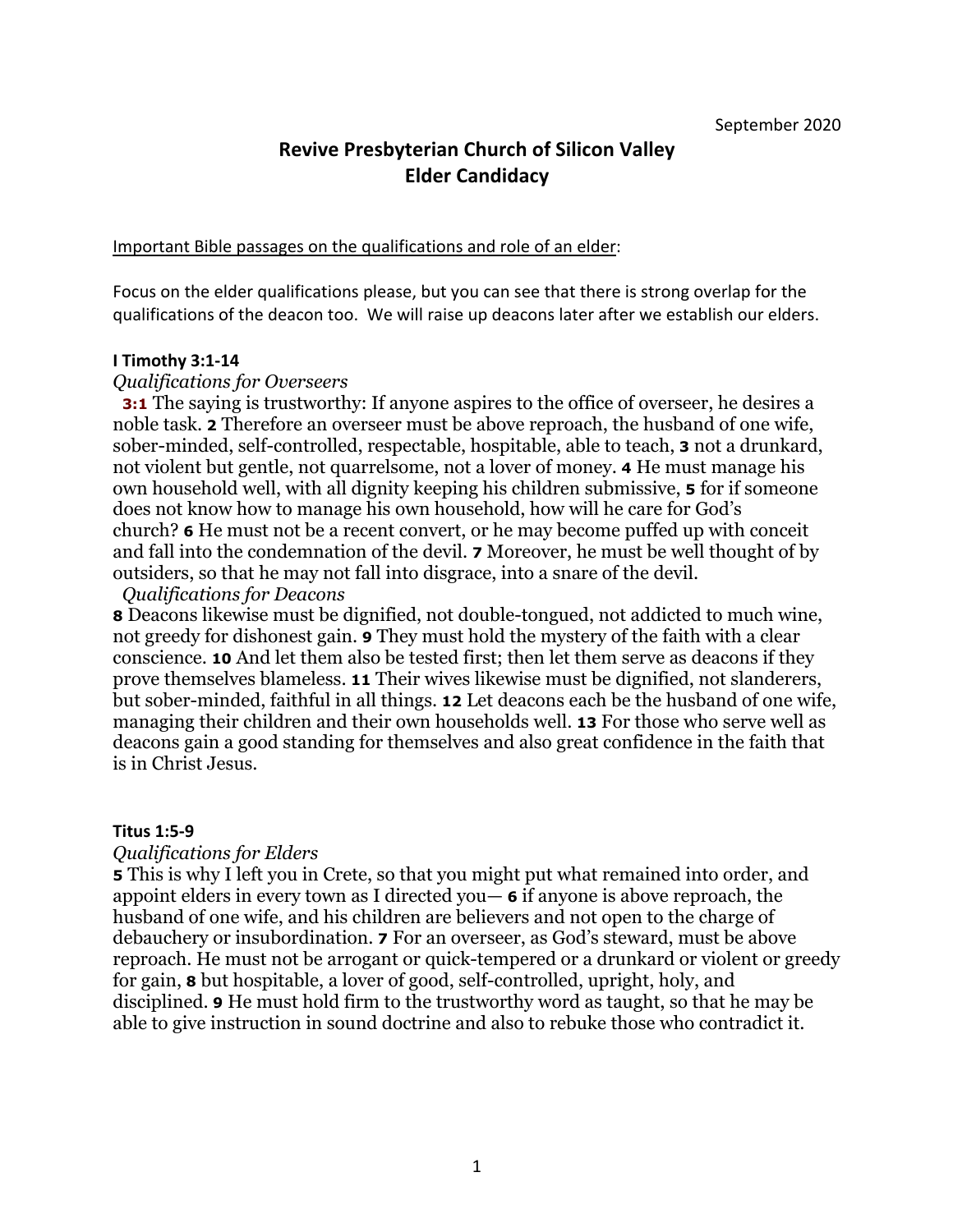# **Revive Presbyterian Church of Silicon Valley Elder Candidacy**

Important Bible passages on the qualifications and role of an elder:

Focus on the elder qualifications please, but you can see that there is strong overlap for the qualifications of the deacon too. We will raise up deacons later after we establish our elders.

#### **I Timothy 3:1-14**

### *Qualifications for Overseers*

**3:1** The saying is trustworthy: If anyone aspires to the office of overseer, he desires a noble task. **2** Therefore an overseer must be above reproach, the husband of one wife, sober-minded, self-controlled, respectable, hospitable, able to teach, **3** not a drunkard, not violent but gentle, not quarrelsome, not a lover of money. **4** He must manage his own household well, with all dignity keeping his children submissive, **5** for if someone does not know how to manage his own household, how will he care for God's church? **6** He must not be a recent convert, or he may become puffed up with conceit and fall into the condemnation of the devil. **7** Moreover, he must be well thought of by outsiders, so that he may not fall into disgrace, into a snare of the devil.

#### *Qualifications for Deacons*

**8** Deacons likewise must be dignified, not double-tongued, not addicted to much wine, not greedy for dishonest gain. **9** They must hold the mystery of the faith with a clear conscience. **10** And let them also be tested first; then let them serve as deacons if they prove themselves blameless. **11** Their wives likewise must be dignified, not slanderers, but sober-minded, faithful in all things. **12** Let deacons each be the husband of one wife, managing their children and their own households well. **13** For those who serve well as deacons gain a good standing for themselves and also great confidence in the faith that is in Christ Jesus.

#### **Titus 1:5-9**

#### *Qualifications for Elders*

**5** This is why I left you in Crete, so that you might put what remained into order, and appoint elders in every town as I directed you— **6** if anyone is above reproach, the husband of one wife, and his children are believers and not open to the charge of debauchery or insubordination. **7** For an overseer, as God's steward, must be above reproach. He must not be arrogant or quick-tempered or a drunkard or violent or greedy for gain, **8** but hospitable, a lover of good, self-controlled, upright, holy, and disciplined. **9** He must hold firm to the trustworthy word as taught, so that he may be able to give instruction in sound doctrine and also to rebuke those who contradict it.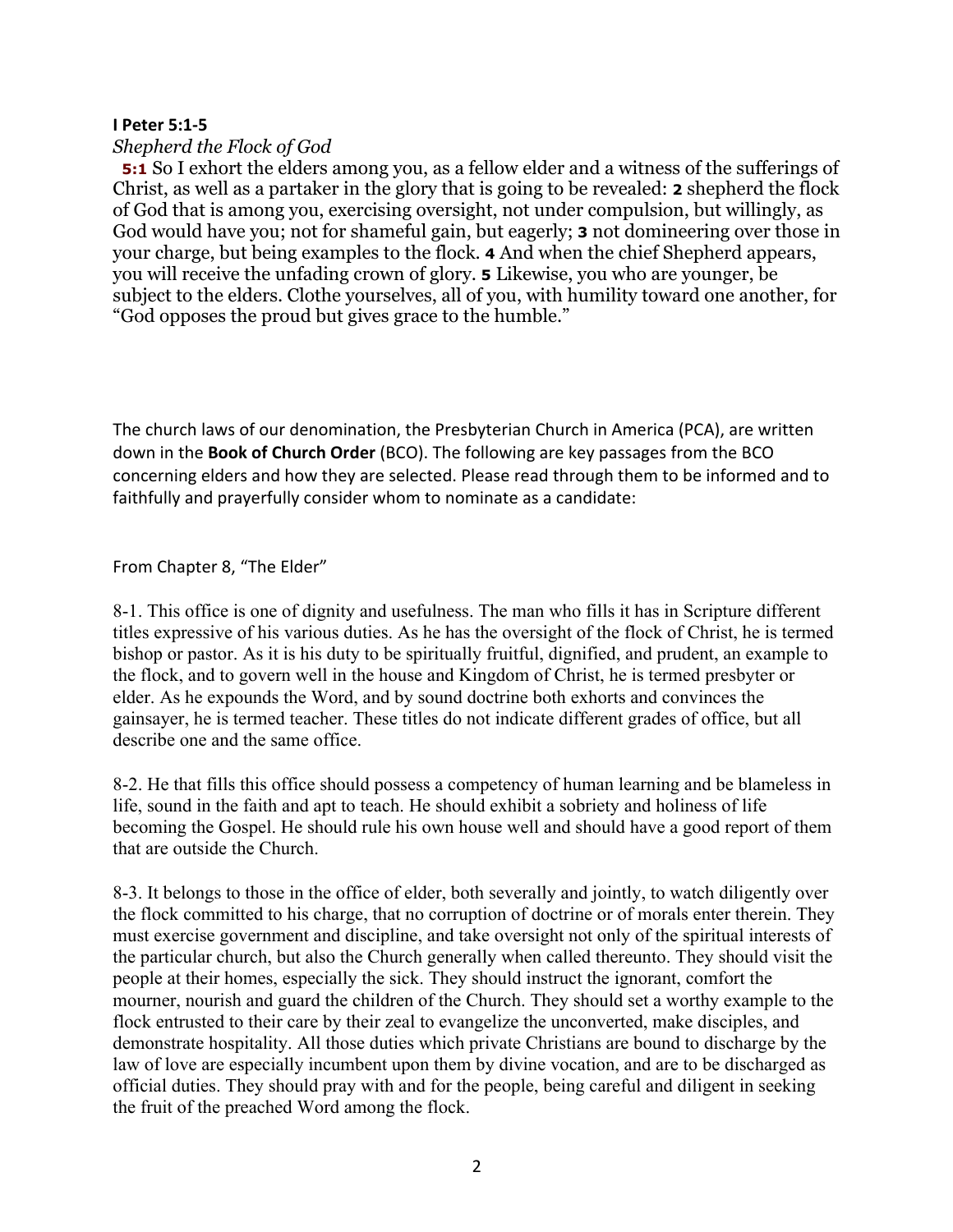### **I Peter 5:1-5**

### *Shepherd the Flock of God*

**5:1** So I exhort the elders among you, as a fellow elder and a witness of the sufferings of Christ, as well as a partaker in the glory that is going to be revealed: **2** shepherd the flock of God that is among you, exercising oversight, not under compulsion, but willingly, as God would have you; not for shameful gain, but eagerly; **3** not domineering over those in your charge, but being examples to the flock. **4** And when the chief Shepherd appears, you will receive the unfading crown of glory. **5** Likewise, you who are younger, be subject to the elders. Clothe yourselves, all of you, with humility toward one another, for "God opposes the proud but gives grace to the humble."

The church laws of our denomination, the Presbyterian Church in America (PCA), are written down in the **Book of Church Order** (BCO). The following are key passages from the BCO concerning elders and how they are selected. Please read through them to be informed and to faithfully and prayerfully consider whom to nominate as a candidate:

#### From Chapter 8, "The Elder"

8-1. This office is one of dignity and usefulness. The man who fills it has in Scripture different titles expressive of his various duties. As he has the oversight of the flock of Christ, he is termed bishop or pastor. As it is his duty to be spiritually fruitful, dignified, and prudent, an example to the flock, and to govern well in the house and Kingdom of Christ, he is termed presbyter or elder. As he expounds the Word, and by sound doctrine both exhorts and convinces the gainsayer, he is termed teacher. These titles do not indicate different grades of office, but all describe one and the same office.

8-2. He that fills this office should possess a competency of human learning and be blameless in life, sound in the faith and apt to teach. He should exhibit a sobriety and holiness of life becoming the Gospel. He should rule his own house well and should have a good report of them that are outside the Church.

8-3. It belongs to those in the office of elder, both severally and jointly, to watch diligently over the flock committed to his charge, that no corruption of doctrine or of morals enter therein. They must exercise government and discipline, and take oversight not only of the spiritual interests of the particular church, but also the Church generally when called thereunto. They should visit the people at their homes, especially the sick. They should instruct the ignorant, comfort the mourner, nourish and guard the children of the Church. They should set a worthy example to the flock entrusted to their care by their zeal to evangelize the unconverted, make disciples, and demonstrate hospitality. All those duties which private Christians are bound to discharge by the law of love are especially incumbent upon them by divine vocation, and are to be discharged as official duties. They should pray with and for the people, being careful and diligent in seeking the fruit of the preached Word among the flock.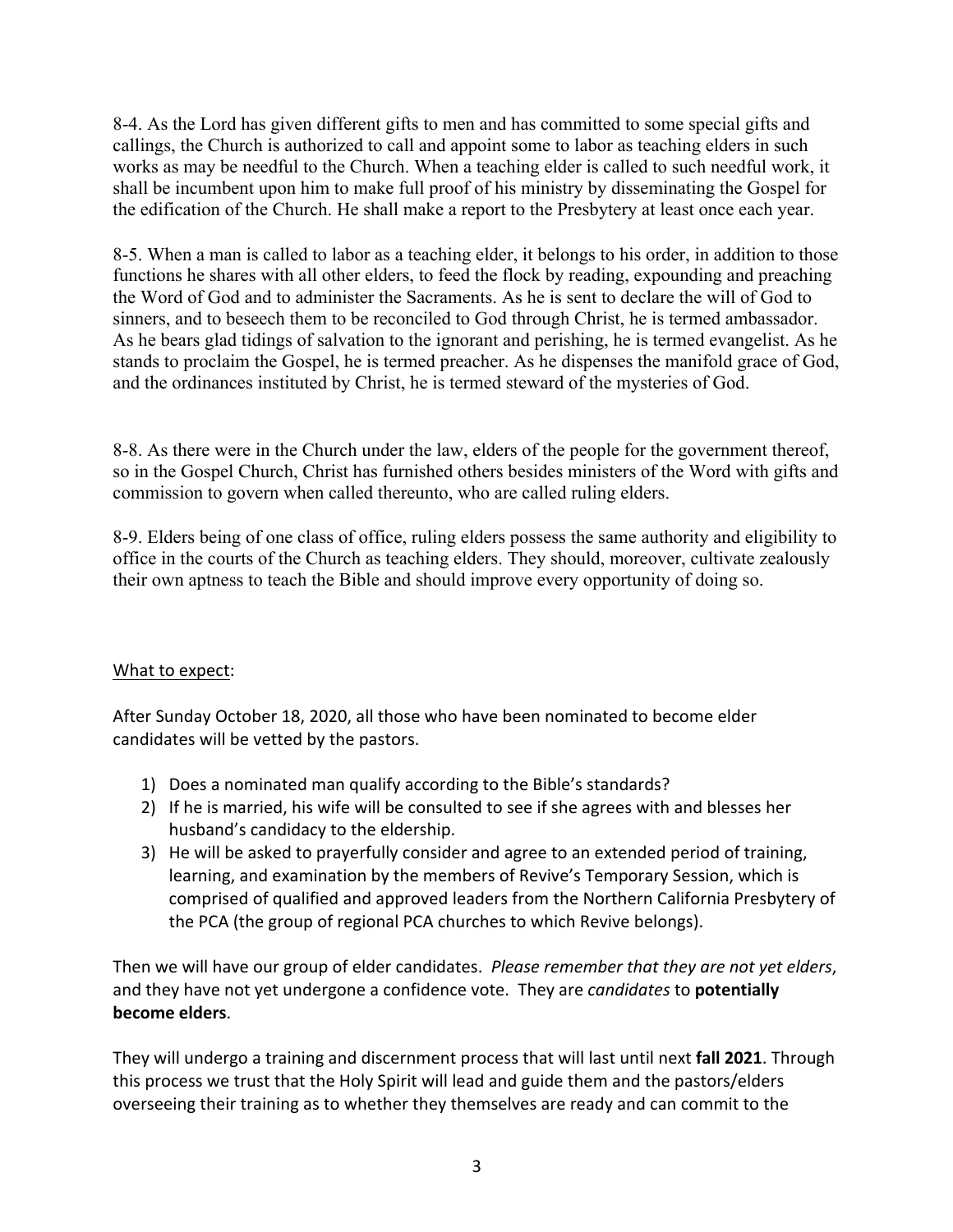8-4. As the Lord has given different gifts to men and has committed to some special gifts and callings, the Church is authorized to call and appoint some to labor as teaching elders in such works as may be needful to the Church. When a teaching elder is called to such needful work, it shall be incumbent upon him to make full proof of his ministry by disseminating the Gospel for the edification of the Church. He shall make a report to the Presbytery at least once each year.

8-5. When a man is called to labor as a teaching elder, it belongs to his order, in addition to those functions he shares with all other elders, to feed the flock by reading, expounding and preaching the Word of God and to administer the Sacraments. As he is sent to declare the will of God to sinners, and to beseech them to be reconciled to God through Christ, he is termed ambassador. As he bears glad tidings of salvation to the ignorant and perishing, he is termed evangelist. As he stands to proclaim the Gospel, he is termed preacher. As he dispenses the manifold grace of God, and the ordinances instituted by Christ, he is termed steward of the mysteries of God.

8-8. As there were in the Church under the law, elders of the people for the government thereof, so in the Gospel Church, Christ has furnished others besides ministers of the Word with gifts and commission to govern when called thereunto, who are called ruling elders.

8-9. Elders being of one class of office, ruling elders possess the same authority and eligibility to office in the courts of the Church as teaching elders. They should, moreover, cultivate zealously their own aptness to teach the Bible and should improve every opportunity of doing so.

## What to expect:

After Sunday October 18, 2020, all those who have been nominated to become elder candidates will be vetted by the pastors.

- 1) Does a nominated man qualify according to the Bible's standards?
- 2) If he is married, his wife will be consulted to see if she agrees with and blesses her husband's candidacy to the eldership.
- 3) He will be asked to prayerfully consider and agree to an extended period of training, learning, and examination by the members of Revive's Temporary Session, which is comprised of qualified and approved leaders from the Northern California Presbytery of the PCA (the group of regional PCA churches to which Revive belongs).

Then we will have our group of elder candidates. *Please remember that they are not yet elders*, and they have not yet undergone a confidence vote. They are *candidates* to **potentially become elders**.

They will undergo a training and discernment process that will last until next **fall 2021**. Through this process we trust that the Holy Spirit will lead and guide them and the pastors/elders overseeing their training as to whether they themselves are ready and can commit to the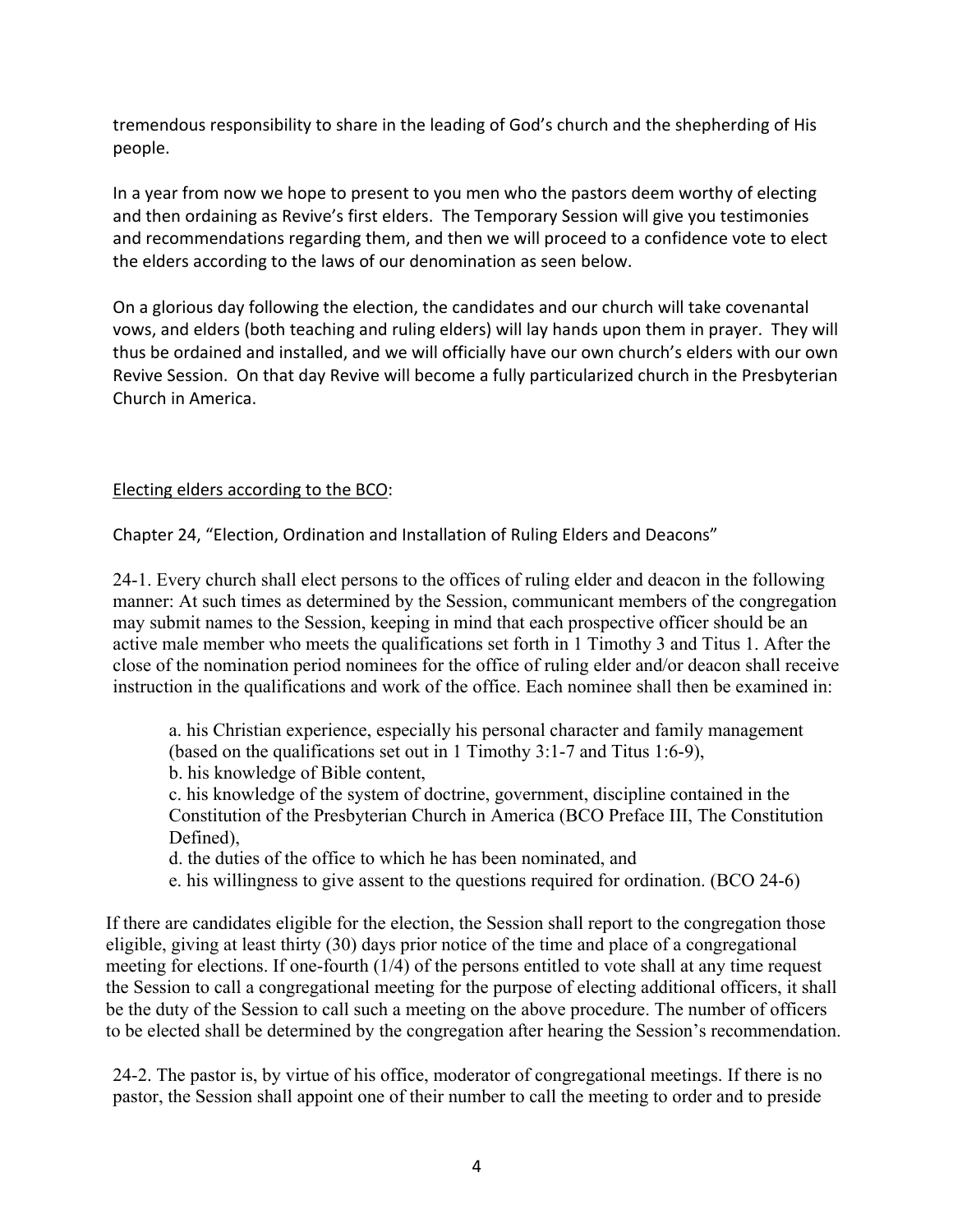tremendous responsibility to share in the leading of God's church and the shepherding of His people.

In a year from now we hope to present to you men who the pastors deem worthy of electing and then ordaining as Revive's first elders. The Temporary Session will give you testimonies and recommendations regarding them, and then we will proceed to a confidence vote to elect the elders according to the laws of our denomination as seen below.

On a glorious day following the election, the candidates and our church will take covenantal vows, and elders (both teaching and ruling elders) will lay hands upon them in prayer. They will thus be ordained and installed, and we will officially have our own church's elders with our own Revive Session. On that day Revive will become a fully particularized church in the Presbyterian Church in America.

### Electing elders according to the BCO:

Chapter 24, "Election, Ordination and Installation of Ruling Elders and Deacons"

24-1. Every church shall elect persons to the offices of ruling elder and deacon in the following manner: At such times as determined by the Session, communicant members of the congregation may submit names to the Session, keeping in mind that each prospective officer should be an active male member who meets the qualifications set forth in 1 Timothy 3 and Titus 1. After the close of the nomination period nominees for the office of ruling elder and/or deacon shall receive instruction in the qualifications and work of the office. Each nominee shall then be examined in:

a. his Christian experience, especially his personal character and family management (based on the qualifications set out in 1 Timothy 3:1-7 and Titus 1:6-9),

b. his knowledge of Bible content,

c. his knowledge of the system of doctrine, government, discipline contained in the Constitution of the Presbyterian Church in America (BCO Preface III, The Constitution Defined),

d. the duties of the office to which he has been nominated, and

e. his willingness to give assent to the questions required for ordination. (BCO 24-6)

If there are candidates eligible for the election, the Session shall report to the congregation those eligible, giving at least thirty (30) days prior notice of the time and place of a congregational meeting for elections. If one-fourth (1/4) of the persons entitled to vote shall at any time request the Session to call a congregational meeting for the purpose of electing additional officers, it shall be the duty of the Session to call such a meeting on the above procedure. The number of officers to be elected shall be determined by the congregation after hearing the Session's recommendation.

24-2. The pastor is, by virtue of his office, moderator of congregational meetings. If there is no pastor, the Session shall appoint one of their number to call the meeting to order and to preside